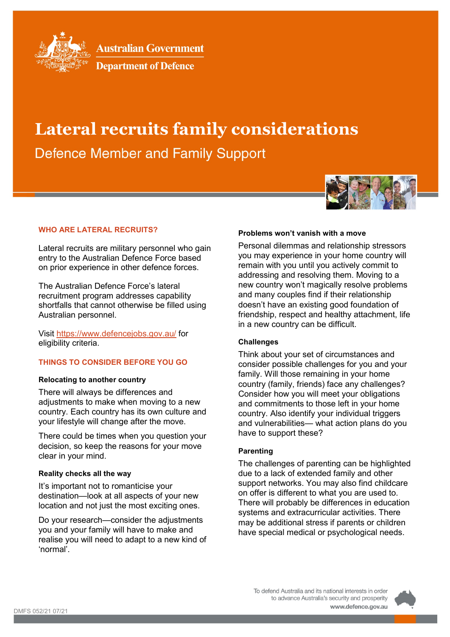

**Australian Government** 



# **Lateral recruits family considerations**

**Defence Member and Family Support** 



#### **WHO ARE LATERAL RECRUITS?**

Lateral recruits are military personnel who gain entry to the Australian Defence Force based on prior experience in other defence forces.

The Australian Defence Force's lateral recruitment program addresses capability shortfalls that cannot otherwise be filled using Australian personnel.

Visit<https://www.defencejobs.gov.au/> for eligibility criteria.

## **THINGS TO CONSIDER BEFORE YOU GO**

#### **Relocating to another country**

There will always be differences and adjustments to make when moving to a new country. Each country has its own culture and your lifestyle will change after the move.

There could be times when you question your decision, so keep the reasons for your move clear in your mind.

#### **Reality checks all the way**

It's important not to romanticise your destination—look at all aspects of your new location and not just the most exciting ones.

Do your research—consider the adjustments you and your family will have to make and realise you will need to adapt to a new kind of 'normal'.

#### **Problems won't vanish with a move**

Personal dilemmas and relationship stressors you may experience in your home country will remain with you until you actively commit to addressing and resolving them. Moving to a new country won't magically resolve problems and many couples find if their relationship doesn't have an existing good foundation of friendship, respect and healthy attachment, life in a new country can be difficult.

#### **Challenges**

Think about your set of circumstances and consider possible challenges for you and your family. Will those remaining in your home country (family, friends) face any challenges? Consider how you will meet your obligations and commitments to those left in your home country. Also identify your individual triggers and vulnerabilities— what action plans do you have to support these?

#### **Parenting**

The challenges of parenting can be highlighted due to a lack of extended family and other support networks. You may also find childcare on offer is different to what you are used to. There will probably be differences in education systems and extracurricular activities. There may be additional stress if parents or children have special medical or psychological needs.